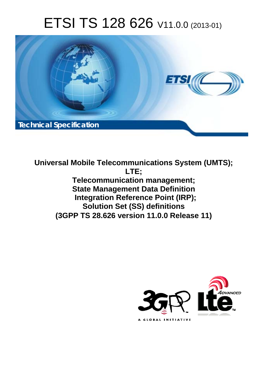# ETSI TS 128 626 V11.0.0 (2013-01)



**Universal Mobile Telecommunications System (UMTS); LTE; Telecommunication management; State Management Data Definition Integration Reference Point (IRP); Solution Set (SS) definitions (3GPP TS 28.626 version 11.0.0 Release 11)** 

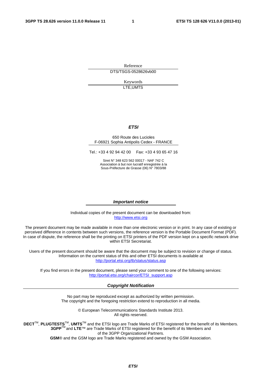Reference DTS/TSGS-0528626vb00

> Keywords LTE,UMTS

#### *ETSI*

#### 650 Route des Lucioles F-06921 Sophia Antipolis Cedex - FRANCE

Tel.: +33 4 92 94 42 00 Fax: +33 4 93 65 47 16

Siret N° 348 623 562 00017 - NAF 742 C Association à but non lucratif enregistrée à la Sous-Préfecture de Grasse (06) N° 7803/88

#### *Important notice*

Individual copies of the present document can be downloaded from: [http://www.etsi.org](http://www.etsi.org/)

The present document may be made available in more than one electronic version or in print. In any case of existing or perceived difference in contents between such versions, the reference version is the Portable Document Format (PDF). In case of dispute, the reference shall be the printing on ETSI printers of the PDF version kept on a specific network drive within ETSI Secretariat.

Users of the present document should be aware that the document may be subject to revision or change of status. Information on the current status of this and other ETSI documents is available at <http://portal.etsi.org/tb/status/status.asp>

If you find errors in the present document, please send your comment to one of the following services: [http://portal.etsi.org/chaircor/ETSI\\_support.asp](http://portal.etsi.org/chaircor/ETSI_support.asp)

#### *Copyright Notification*

No part may be reproduced except as authorized by written permission. The copyright and the foregoing restriction extend to reproduction in all media.

> © European Telecommunications Standards Institute 2013. All rights reserved.

DECT<sup>™</sup>, PLUGTESTS<sup>™</sup>, UMTS<sup>™</sup> and the ETSI logo are Trade Marks of ETSI registered for the benefit of its Members. **3GPP**TM and **LTE**™ are Trade Marks of ETSI registered for the benefit of its Members and of the 3GPP Organizational Partners.

**GSM**® and the GSM logo are Trade Marks registered and owned by the GSM Association.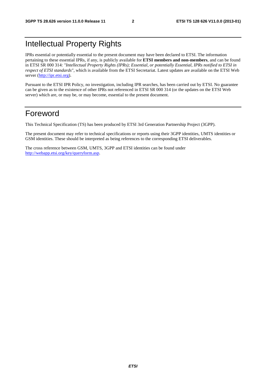#### Intellectual Property Rights

IPRs essential or potentially essential to the present document may have been declared to ETSI. The information pertaining to these essential IPRs, if any, is publicly available for **ETSI members and non-members**, and can be found in ETSI SR 000 314: *"Intellectual Property Rights (IPRs); Essential, or potentially Essential, IPRs notified to ETSI in respect of ETSI standards"*, which is available from the ETSI Secretariat. Latest updates are available on the ETSI Web server [\(http://ipr.etsi.org](http://webapp.etsi.org/IPR/home.asp)).

Pursuant to the ETSI IPR Policy, no investigation, including IPR searches, has been carried out by ETSI. No guarantee can be given as to the existence of other IPRs not referenced in ETSI SR 000 314 (or the updates on the ETSI Web server) which are, or may be, or may become, essential to the present document.

#### Foreword

This Technical Specification (TS) has been produced by ETSI 3rd Generation Partnership Project (3GPP).

The present document may refer to technical specifications or reports using their 3GPP identities, UMTS identities or GSM identities. These should be interpreted as being references to the corresponding ETSI deliverables.

The cross reference between GSM, UMTS, 3GPP and ETSI identities can be found under [http://webapp.etsi.org/key/queryform.asp.](http://webapp.etsi.org/key/queryform.asp)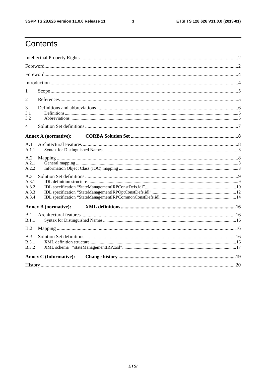$\mathbf{3}$ 

## Contents

| 1                                       |                               |  |  |  |  |  |
|-----------------------------------------|-------------------------------|--|--|--|--|--|
| $\overline{2}$                          |                               |  |  |  |  |  |
| 3<br>3.1<br>3.2                         |                               |  |  |  |  |  |
| 4                                       |                               |  |  |  |  |  |
|                                         | <b>Annex A (normative):</b>   |  |  |  |  |  |
| A.1<br>A.1.1                            |                               |  |  |  |  |  |
| A.2<br>A.2.1<br>A.2.2                   |                               |  |  |  |  |  |
| A.3<br>A.3.1<br>A.3.2<br>A.3.3<br>A.3.4 |                               |  |  |  |  |  |
|                                         | <b>Annex B</b> (normative):   |  |  |  |  |  |
| R <sub>1</sub><br>B.1.1                 |                               |  |  |  |  |  |
| B.2                                     |                               |  |  |  |  |  |
| B.3<br>B.3.1<br><b>B.3.2</b>            |                               |  |  |  |  |  |
|                                         | <b>Annex C</b> (Informative): |  |  |  |  |  |
|                                         |                               |  |  |  |  |  |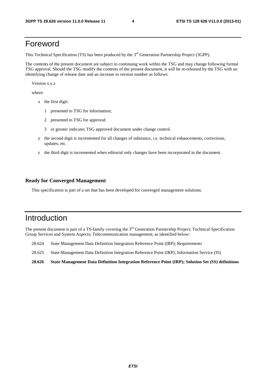#### Foreword

This Technical Specification (TS) has been produced by the 3<sup>rd</sup> Generation Partnership Project (3GPP).

The contents of the present document are subject to continuing work within the TSG and may change following formal TSG approval. Should the TSG modify the contents of the present document, it will be re-released by the TSG with an identifying change of release date and an increase in version number as follows:

Version x.y.z

where:

- x the first digit:
	- 1 presented to TSG for information;
	- 2 presented to TSG for approval;
	- 3 or greater indicates TSG approved document under change control.
- y the second digit is incremented for all changes of substance, i.e. technical enhancements, corrections, updates, etc.
- z the third digit is incremented when editorial only changes have been incorporated in the document.

#### **Ready for Converged Management**

This specification is part of a set that has been developed for converged management solutions.

#### Introduction

The present document is part of a TS-family covering the 3<sup>rd</sup> Generation Partnership Project; Technical Specification Group Services and System Aspects; Telecommunication management; as identified below:

- 28.624 State Management Data Definition Integration Reference Point (IRP); Requirements
- 28.625 State Management Data Definition Integration Reference Point (IRP); Information Service (IS)
- **28.626 State Management Data Definition Integration Reference Point (IRP); Solution Set (SS) definitions**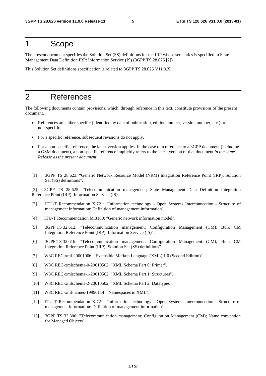#### 1 Scope

The present document specifies the Solution Set (SS) definitions for the IRP whose semantics is specified in State Management Data Definition IRP: Information Service (IS) (3GPP TS 28.625 [2]).

This Solution Set definitions specification is related to 3GPP TS 28.625 V11.0.X.

#### 2 References

The following documents contain provisions, which, through reference in this text, constitute provisions of the present document.

- References are either specific (identified by date of publication, edition number, version number, etc.) or non-specific.
- For a specific reference, subsequent revisions do not apply.
- For a non-specific reference, the latest version applies. In the case of a reference to a 3GPP document (including a GSM document), a non-specific reference implicitly refers to the latest version of that document *in the same Release as the present document*.
- [1] 3GPP TS 28.623: "Generic Network Resource Model (NRM) Integration Reference Point (IRP); Solution Set (SS) definitions".

[2] 3GPP TS 28.625: "Telecommunication management; State Management Data Definition Integration Reference Point (IRP): Information Service (IS)".

- [3] ITU-T Recommendation X.721: "Information technology Open Systems Interconnection Structure of management information: Definition of management information".
- [4] ITU-T Recommendation M.3100: "Generic network information model".
- [5] 3GPP TS 32.612: "Telecommunication management; Configuration Management (CM); Bulk CM Integration Reference Point (IRP); Information Service (IS)".
- [6] 3GPP TS 32.616: "Telecommunication management; Configuration Management (CM); Bulk CM Integration Reference Point (IRP); Solution Set (SS) definitions".
- [7] W3C REC-xml-20001006: "Extensible Markup Language (XML) 1.0 (Second Edition)".
- [8] W3C REC-xmlschema-0-20010502: "XML Schema Part 0: Primer".
- [9] W3C REC-xmlschema-1-20010502: "XML Schema Part 1: Structures".
- [10] W3C REC-xmlschema-2-20010502: "XML Schema Part 2: Datatypes".
- [11] W3C REC-xml-names-19990114: "Namespaces in XML".
- [12] ITU-T Recommendation X.721: "Information technology Open Systems Interconnection Structure of management information: Definition of management information".
- [13] 3GPP TS 32.300: "Telecommunication management; Configuration Management (CM); Name convention for Managed Objects".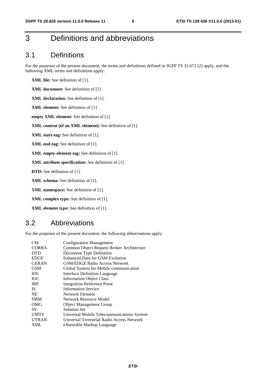#### 3 Definitions and abbreviations

#### 3.1 Definitions

For the purposes of the present document, the terms and definitions defined in 3GPP TS 32.672 [2] apply, and the following XML terms and definitions apply:

**XML file:** See definition of [1].

**XML document:** See definition of [1].

**XML declaration:** See definition of [1].

**XML element:** See definition of [1].

**empty XML element:** See definition of [1].

**XML content (of an XML element):** See definition of [1].

**XML start-tag:** See definition of [1].

**XML end-tag:** See definition of [1].

**XML empty-element tag:** See definition of [1].

**XML attribute specification:** See definition of [1].

**DTD:** See definition of [1].

**XML schema:** See definition of [1].

**XML namespace:** See definition of [1].

**XML complex type:** See definition of [1].

**XML element type:** See definition of [1].

#### 3.2 Abbreviations

For the purposes of the present document, the following abbreviations apply:

| CM <sub></sub> | <b>Configuration Management</b>            |
|----------------|--------------------------------------------|
| <b>CORBA</b>   | Common Object Request Broker Architecture  |
| <b>DTD</b>     | Document Type Definition                   |
| <b>EDGE</b>    | Enhanced Data for GSM Evolution            |
| <b>GERAN</b>   | <b>GSM/EDGE Radio Access Network</b>       |
| <b>GSM</b>     | Global System for Mobile communication     |
| <b>IDL</b>     | Interface Definition Language              |
| <b>TOC</b>     | <b>Information Object Class</b>            |
| <b>IRP</b>     | <b>Integration Reference Point</b>         |
| <b>IS</b>      | <b>Information Service</b>                 |
| <b>NE</b>      | Network Element                            |
| <b>NRM</b>     | Network Resource Model                     |
| OMG            | <b>Object Management Group</b>             |
| SS             | Solution Set                               |
| <b>UMTS</b>    | Universal Mobile Telecommunications System |
| <b>UTRAN</b>   | Universal Terrestrial Radio Access Network |
| <b>XML</b>     | eXtensible Markup Language                 |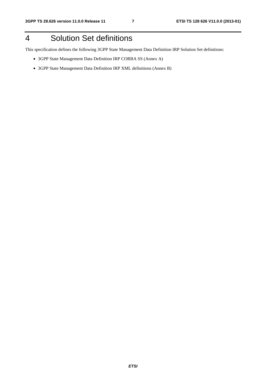## 4 Solution Set definitions

This specification defines the following 3GPP State Management Data Definition IRP Solution Set definitions:

- 3GPP State Management Data Definition IRP CORBA SS (Annex A)
- 3GPP State Management Data Definition IRP XML definitions (Annex B)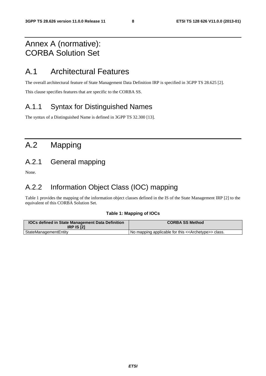#### Annex A (normative): CORBA Solution Set

#### A.1 Architectural Features

The overall architectural feature of State Management Data Definition IRP is specified in 3GPP TS 28.625 [2].

This clause specifies features that are specific to the CORBA SS.

#### A.1.1 Syntax for Distinguished Names

The syntax of a Distinguished Name is defined in 3GPP TS 32.300 [13].

## A.2 Mapping

#### A.2.1 General mapping

None.

#### A.2.2 Information Object Class (IOC) mapping

Table 1 provides the mapping of the information object classes defined in the IS of the State Management IRP [2] to the equivalent of this CORBA Solution Set.

#### **Table 1: Mapping of IOCs**

| <b>IOCs defined in State Management Data Definition</b><br><b>IRP IS [2]</b> | <b>CORBA SS Method</b>                                              |
|------------------------------------------------------------------------------|---------------------------------------------------------------------|
| StateManagementEntity                                                        | No mapping applicable for this < <archetype>&gt; class.</archetype> |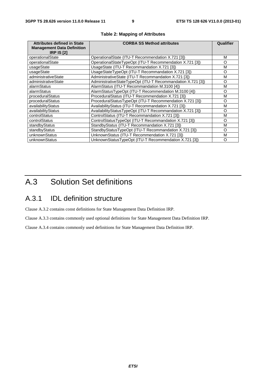| <b>Attributes defined in State</b><br><b>Management Data Definition</b><br><b>IRP IS [2]</b> | <b>CORBA SS Method attributes</b>                           | Qualifier |
|----------------------------------------------------------------------------------------------|-------------------------------------------------------------|-----------|
| operationalState                                                                             | OperationalState (ITU-T Recommendation X.721 [3])           | м         |
| operationalState                                                                             | OperationalStateTypeOpt (ITU-T Recommendation X.721 [3])    | O         |
| usageState                                                                                   | UsageState (ITU-T Recommandation X.721 [3])                 | м         |
| usageState                                                                                   | UsageStateTypeOpt (ITU-T Recommandation X.721 [3])          | $\Omega$  |
| administrativeState                                                                          | AdministrativeState (ITU-T Recommandation X.721 [3])        | м         |
| administrativeState                                                                          | AdministrativeStateTypeOpt (ITU-T Recommandation X.721 [3]) | O         |
| alarmStatus                                                                                  | AlarmStatus (ITU-T Recommandation M.3100 [4])               | м         |
| alarmStatus                                                                                  | AlarmStatusTypeOpt (ITU-T Recommendation M.3100 [4])        | O         |
| proceduralStatus                                                                             | ProceduralStatus (ITU-T Recommendation X.721 [3])           | м         |
| proceduralStatus                                                                             | ProceduralStatusTypeOpt (ITU-T Recommendation X.721 [3])    | $\Omega$  |
| availabilityStatus                                                                           | AvailabilityStatus (ITU-T Recommandation X.721 [3])         | м         |
| availabilityStatus                                                                           | AvailabilityStatusTypeOpt (ITU-T Recommandation X.721 [3])  | O         |
| controlStatus                                                                                | ControlStatus (ITU-T Recommandation X.721 [3])              | м         |
| controlStatus                                                                                | ControlStatusTypeOpt (ITU-T Recommandation X.721 [3])       | O         |
| standbyStatus                                                                                | StandbyStatus (ITU-T Recommandation X.721 [3])              | М         |
| standbyStatus                                                                                | StandbyStatusTypeOpt (ITU-T Recommandation X.721 [3])       | O         |
| unknownStatus                                                                                | UnknownStatus (ITU-T Recommendation X.721 [3])              | М         |
| unknownStatus                                                                                | UnknownStatusTypeOpt (ITU-T Recommendation X.721 [3])       | O         |

#### **Table 2: Mapping of Attributes**

## A.3 Solution Set definitions

#### A.3.1 IDL definition structure

Clause A.3.2 contains const definitions for State Management Data Definition IRP.

Clause A.3.3 contains commonly used optional definitions for State Management Data Definition IRP.

Clause A.3.4 contains commonly used definitions for State Management Data Definition IRP.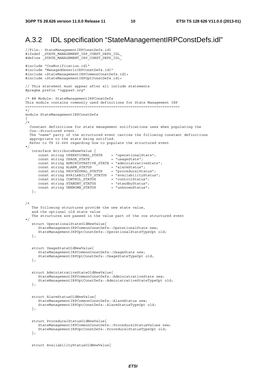#### A.3.2 IDL specification "StateManagementIRPConstDefs.idl"

```
//File:- StateManagementIRPConstDefs.idl 
#ifndef _STATE_MANAGEMENT_IRP_CONST_DEFS_IDL_ 
#define _STATE_MANAGEMENT_IRP_CONST_DEFS_IDL
#include "CosNotification.idl" 
#include "ManagedGenericIRPConstDefs.idl" 
#include <StateManagementIRPCommonConstDefs.idl> 
#include <StateManagementIRPOptConstDefs.idl> 
// This statement must appear after all include statements 
#pragma prefix "3gppsa5.org" 
/* ## Module: StateManagementIRPConstDefs 
This module contains commonly used definitions for State Management IRP 
======================================================================== 
*/ 
module StateManagementIRPConstDefs 
{ 
/* 
   Constant definitions for state management notifications uses when populating the 
   Cos::Structured event. 
   The "name" party of the structured event carries the following constant definitions 
   appropriate to the state being notified. 
   Refer to TS 32.666 regarding how to populate the structured event 
*/ 
   interface AttributeNameValue { 
      const string OPERATIONAL_STATE = "operationalState";<br>const string USAGE STATE = "usageState";
      const string USAGE STATE
       const string ADMINISTRATIVE_STATE = "administrativeState"; 
 const string ALARM_STATUS = "alarmStatus"; 
 const string PROCEDURAL_STATUS = "proceduralStatus"; 
      const string AVAILABILITY STATUS = "availabilityStatus";
 const string CONTROL_STATUS = "controlStatus"; 
const string STANDBY STATUS = "standbyStatus";
 const string UNKNOWN_STATUS = "unknownStatus"; 
    }; 
/* 
   The following structures provide the new state value, 
    and the optional old state value 
   The structures are passed in the value part of the cos structured event 
*/ 
    struct OperationalStateOldNewValue{ 
       StateManagementIRPCommonConstDefs::OperationalState new; 
       StateManagementIRPOptConstDefs::OperationalStateTypeOpt old; 
    }; 
    struct UsageStateOldNewValue{ 
       StateManagementIRPCommonConstDefs::UsageState new; 
       StateManagementIRPOptConstDefs::UsageStateTypeOpt old; 
    }; 
    struct AdministrativeStateOldNewValue{ 
       StateManagementIRPCommonConstDefs::AdministrativeState new; 
       StateManagementIRPOptConstDefs::AdministrativeStateTypeOpt old; 
    }; 
    struct AlarmStatusOldNewValue{ 
       StateManagementIRPCommonConstDefs::AlarmStatus new; 
       StateManagementIRPOptConstDefs::AlarmStatusTypeOpt old; 
    }; 
    struct ProceduralStatusOldNewValue{ 
       StateManagementIRPCommonConstDefs::ProceduralStatusValues new; 
       StateManagementIRPOptConstDefs::ProceduralStatusTypeOpt old; 
    };
```

```
 struct AvailabilityStatusOldNewValue{
```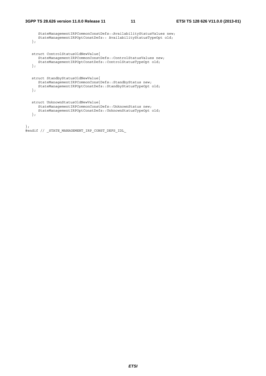```
 StateManagementIRPCommonConstDefs::AvailabilityStatusValues new; 
      StateManagementIRPOptConstDefs:: AvailabilityStatusTypeOpt old; 
   }; 
   struct ControlStatusOldNewValue{ 
      StateManagementIRPCommonConstDefs::ControlStatusValues new; 
      StateManagementIRPOptConstDefs::ControlStatusTypeOpt old; 
   }; 
   struct StandbyStatusOldNewValue{ 
      StateManagementIRPCommonConstDefs::StandbyStatus new; 
      StateManagementIRPOptConstDefs::StandbyStatusTypeOpt old; 
   }; 
   struct UnknownStatusOldNewValue{ 
      StateManagementIRPCommonConstDefs::UnknownStatus new; 
      StateManagementIRPOptConstDefs::UnknownStatusTypeOpt old; 
   }; 
\};
```

```
#endif // _STATE_MANAGEMENT_IRP_CONST_DEFS_IDL_
```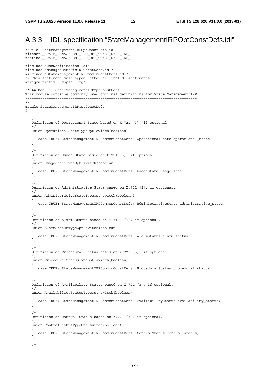#### A.3.3 IDL specification "StateManagementIRPOptConstDefs.idl"

```
//File:-StateManagementIRPOptConstDefs.idl 
#ifndef _STATE_MANAGEMENT_IRP_OPT_CONST_DEFS_IDL_ 
#define STATE_MANAGEMENT_IRP_OPT_CONST_DEFS_IDL
#include "CosNotification.idl" 
#include "ManagedGenericIRPConstDefs.idl" 
#include "StateManagementIRPCommonConstDefs.idl" 
// This statement must appear after all include statements 
#pragma prefix "3gppsa5.org" 
/* ## Module: StateManagementIRPOptConstDefs 
This module contains commonly used optional definitions for State Management IRP 
================================================================================ 
*/ 
module StateManagementIRPOptConstDefs 
{ 
    /* 
    Definition of Operational State based on X.721 [3], if optional. 
    */ 
    union OperationalStateTypeOpt switch(boolean) 
    { 
      case TRUE: StateManagementIRPCommonConstDefs::OperationalState operational state;
    }; 
/*
   Definition of Usage State based on X.721 [3], if optional. 
    */ 
   union UsageStateTypeOpt switch(boolean) 
    { 
      case TRUE: StateManagementIRPCommonConstDefs: UsageState usage state;
    }; 
/*
   Definition of Administrative State based on X.721 [3], if optional. 
    */ 
    union AdministrativeStateTypeOpt switch(boolean) 
    { 
       case TRUE: StateManagementIRPCommonConstDefs::AdministrativeState administrative_state; 
    }; 
/*
   Definition of Alarm Status based on M.3100 [4], if optional. 
   \star union AlarmStatusTypeOpt switch(boolean) 
    { 
       case TRUE: StateManagementIRPCommonConstDefs::AlarmStatus alarm_status; 
    }; 
    /* 
   Definition of Procedural Status based on X.721 [3], if optional. 
    */ 
    union ProceduralStatusTypeOpt switch(boolean) 
    { 
      case TRUE: StateManagementIRPCommonConstDefs::ProceduralStatus procedural status;
    }; 
/*
    Definition of Availability Status based on X.721 [3], if optional. 
   \star union AvailabilityStatusTypeOpt switch(boolean) 
    { 
       case TRUE: StateManagementIRPCommonConstDefs::AvailabilityStatus availability_status; 
    }; 
/*
    Definition of Control Status based on X.721 [3], if optional. 
    */ 
    union ControlStatusTypeOpt switch(boolean) 
    { 
      case TRUE: StateManagementIRPCommonConstDefs::ControlStatus control status;
    }; 
    /*
```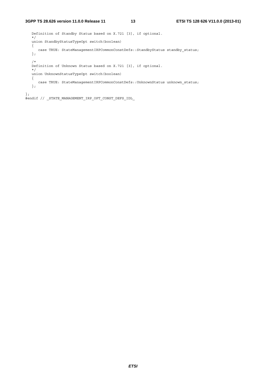Definition of Standby Status based on X.721 [3], if optional. \*/ union StandbyStatusTypeOpt switch(boolean) { case TRUE: StateManagementIRPCommonConstDefs::StandbyStatus standby\_status; }; /\* Definition of Unknown Status based on X.721 [3], if optional. \*/ union UnknownStatusTypeOpt switch(boolean) { case TRUE: StateManagementIRPCommonConstDefs::UnknownStatus unknown\_status; }; };

#endif // \_STATE\_MANAGEMENT\_IRP\_OPT\_CONST\_DEFS\_IDL\_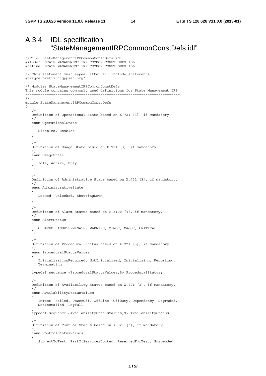//File: StateManagementIRPCommonConstDefs.idl

#### A.3.4 IDL specification "StateManagementIRPCommonConstDefs.idl"

```
#ifndef _STATE_MANAGEMENT_IRP_COMMON_CONST_DEFS_IDL_ 
#define _STATE_MANAGEMENT_IRP_COMMON_CONST_DEFS_IDL
// This statement must appear after all include statements 
#pragma prefix "3gppsa5.org" 
/* Module: StateManagementIRPCommonConstDefs 
This module contains commonly used definitions for State Management IRP 
======================================================================== 
*/ 
module StateManagementIRPCommonConstDefs 
{ 
/*
    Definition of Operational State based on X.721 [3], if mandatory. 
    */ 
    enum OperationalState 
    { 
       Disabled, Enabled 
    }; 
/*
    Definition of Usage State based on X.721 [3], if mandatory. 
    */ 
    enum UsageState 
    { 
       Idle, Active, Busy 
    }; 
/*
    Definition of Administrative State based on X.721 [3], if mandatory. 
    */ 
    enum AdministrativeState 
    { 
       Locked, Unlocked, ShuttingDown 
    }; 
    /* 
    Definition of Alarm Status based on M.3100 [4], if mandatory. 
    */ 
    enum AlarmStatus 
    { 
       CLEARED, INDETERMINATE, WARNING, MINOR, MAJOR, CRITICAL 
    }; 
/*
    Definition of Procedural Status based on X.721 [3], if mandatory. 
    */ 
    enum ProceduralStatusValues 
    { 
       InitializationRequired, NotInitialized, Initializing, Reporting, 
       Terminating 
    }; 
    typedef sequence <ProceduralStatusValues,5> ProceduralStatus; 
/*
    Definition of Availability Status based on X.721 [3], if mandatory. 
    */ 
    enum AvailabilityStatusValues 
    { 
       InTest, Failed, PowerOff, OffLine, OffDuty, Dependency, Degraded, 
       NotInstalled, LogFull 
    }; 
    typedef sequence <AvailabilityStatusValues,9> AvailabilityStatus; 
/*
    Definition of Control Status based on X.721 [3], if mandatory. 
    */ 
    enum ControlStatusValues 
    { 
       SubjectToTest, PartOfServicesLocked, ReservedForTest, Suspended 
    };
```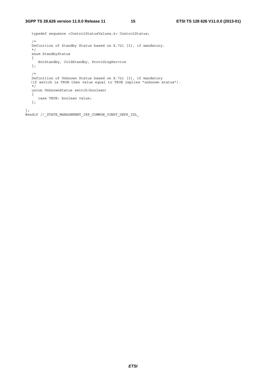```
 typedef sequence <ControlStatusValues,4> ControlStatus; 
    /* 
   Definition of Standby Status based on X.721 [3], if mandatory. 
   */ 
    enum StandbyStatus 
    { 
     HotStandby, ColdStandby, ProvidingService 
    }; 
    /* 
 Definition of Unknown Status based on X.721 [3], if mandatory 
 (if switch is TRUE then value equal to TRUE implies "unknown status"). 
    */ 
   union UnknownStatus switch(boolean) 
    { 
      case TRUE: boolean value; 
    }; 
}; 
#endif //_STATE_MANAGEMENT_IRP_COMMON_CONST_DEFS_IDL_
```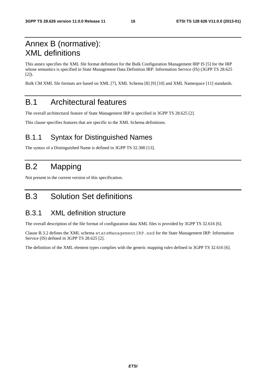## Annex B (normative): XML definitions

This annex specifies the XML file format definition for the Bulk Configuration Management IRP IS [5] for the IRP whose semantics is specified in State Management Data Definition IRP: Information Service (IS) (3GPP TS 28.625 [2]).

Bulk CM XML file formats are based on XML [7], XML Schema [8] [9] [10] and XML Namespace [11] standards.

#### B.1 Architectural features

The overall architectural feature of State Management IRP is specified in 3GPP TS 28.625 [2].

This clause specifies features that are specific to the XML Schema definitions.

#### B.1.1 Syntax for Distinguished Names

The syntax of a Distinguished Name is defined in 3GPP TS 32.300 [13].

## B.2 Mapping

Not present in the current version of this specification.

## B.3 Solution Set definitions

#### B.3.1 XML definition structure

The overall description of the file format of configuration data XML files is provided by 3GPP TS 32.616 [6].

Clause B.3.2 defines the XML schema stateManagementIRP.xsd for the State Management IRP: Information Service (IS) defined in 3GPP TS 28.625 [2].

The definition of the XML element types complies with the generic mapping rules defined in 3GPP TS 32.616 [6].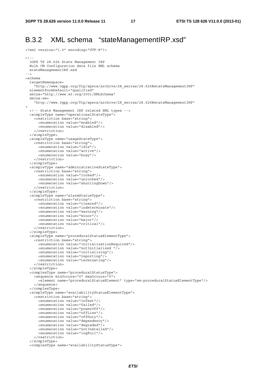#### B.3.2 XML schema "stateManagementIRP.xsd"

```
<?xml version="1.0" encoding="UTF-8"?> 
>1- 3GPP TS 28.626 State Management IRP 
  Bulk CM Configuration data file XML schema 
  stateManagementIRP.xsd 
--> 
<schema 
   targetNamespace= 
     "http://www.3gpp.org/ftp/specs/archive/28_series/28.626#stateManagementIRP" 
   elementFormDefault="qualified" 
   xmlns="http://www.w3.org/2001/XMLSchema" 
   xmlns:sm= 
     "http://www.3gpp.org/ftp/specs/archive/28_series/28.626#stateManagementIRP" 
> 
   <!-- State Management IRP related XML types --> 
   <simpleType name="operationalStateType"> 
     <restriction base="string"> 
      <enumeration value="enabled"/> 
       <enumeration value="disabled"/> 
     </restriction> 
   </simpleType> 
   <simpleType name="usageStateType"> 
     <restriction base="string"> 
       <enumeration value="idle"/> 
       <enumeration value="active"/> 
       <enumeration value="busy"/> 
     </restriction> 
   </simpleType> 
   <simpleType name="administrativeStateType"> 
     <restriction base="string"> 
       <enumeration value="locked"/> 
       <enumeration value="unlocked"/> 
       <enumeration value="shuttingDown"/> 
     </restriction> 
   </simpleType> 
   <simpleType name="alarmStatusType"> 
     <restriction base="string"> 
       <enumeration value="cleared"/> 
       <enumeration value="indeterminate"/> 
       <enumeration value="warning"/> 
       <enumeration value="minor"/> 
       <enumeration value="major"/> 
       <enumeration value="critical"/> 
     </restriction> 
   </simpleType> 
   <simpleType name="proceduralStatusElementType"> 
     <restriction base="string"> 
       <enumeration value="initializationRequired"/> 
       <enumeration value="notInitialized "/> 
       <enumeration value="initializing"/> 
       <enumeration value="reporting"/> 
       <enumeration value="terminating"/> 
     </restriction> 
   </simpleType> 
   <complexType name="proceduralStatusType"> 
     <sequence minOccurs="0" maxOccurs="5"> 
       <element name="proceduralStatusElement" type="sm:proceduralStatusElementType"/> 
     </sequence> 
   </complexType> 
   <simpleType name="availabilityStatusElementType"> 
     <restriction base="string"> 
       <enumeration value="inTest"/> 
       <enumeration value="failed"/> 
       <enumeration value="powerOff"/> 
       <enumeration value="offLine"/> 
       <enumeration value="offDuty"/> 
       <enumeration value="dependency"/> 
       <enumeration value="degraded"/> 
       <enumeration value="notInstalled"/> 
       <enumeration value="logFull"/> 
     </restriction> 
   </simpleType> 
   <complexType name="availabilityStatusType">
```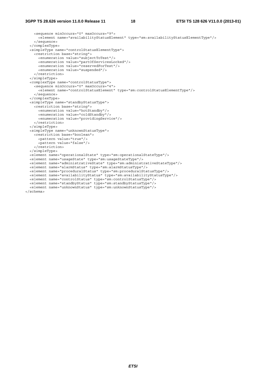#### **3GPP TS 28.626 version 11.0.0 Release 11 18 ETSI TS 128 626 V11.0.0 (2013-01)**

 <sequence minOccurs="0" maxOccurs="9"> <element name="availabilityStatusElement" type="sm:availabilityStatusElementType"/> </sequence> </complexType> <simpleType name="controlStatusElementType"> <restriction base="string"> <enumeration value="subjectToTest"/> <enumeration value="partOfServicesLocked"/> <enumeration value="reservedForTest"/> <enumeration value="suspended"/> </restriction> </simpleType> <complexType name="controlStatusType"> <sequence minOccurs="0" maxOccurs="4"> <element name="controlStatusElement" type="sm:controlStatusElementType"/> </sequence> </complexType> <simpleType name="standbyStatusType"> <restriction base="string"> <enumeration value="hotStandby"/> <enumeration value="coldStandby"/> <enumeration value="providingService"/> </restriction> </simpleType> <simpleType name="unknownStatusType"> <restriction base="boolean"> <pattern value="true"/> <pattern value="false"/> </restriction> </simpleType> <element name="operationalState" type="sm:operationalStateType"/> <element name="usageState" type="sm:usageStateType"/> <element name="administrativeState" type="sm:administrativeStateType"/> <element name="alarmStatus" type="sm:alarmStatusType"/> <element name="proceduralStatus" type="sm:proceduralStatusType"/> <element name="availabilityStatus" type="sm:availabilityStatusType"/> <element name="controlStatus" type="sm:controlStatusType"/> <element name="standbyStatus" type="sm:standbyStatusType"/> <element name="unknownStatus" type="sm:unknownStatusType"/> </schema>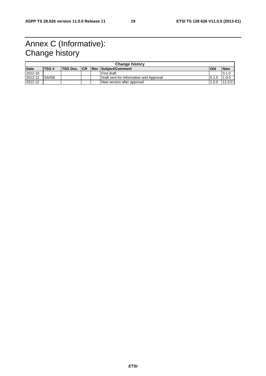## Annex C (Informative): Change history

| <b>Change history</b> |              |  |  |  |                                            |             |            |
|-----------------------|--------------|--|--|--|--------------------------------------------|-------------|------------|
| <b>Date</b>           | <b>ITSG#</b> |  |  |  | <b>ITSG Doc. ICR IRev ISubiect/Comment</b> | <b>IOId</b> | <b>New</b> |
| 2012-10               |              |  |  |  | l First draft                              |             | 0.1.0      |
| 2012-12               | SA#58        |  |  |  | Draft sent for Information and Approval    | 0.1.0       | 1.0.0      |
| 2012-12               |              |  |  |  | New version after approval                 | 1.0.0       | 11.0.0     |